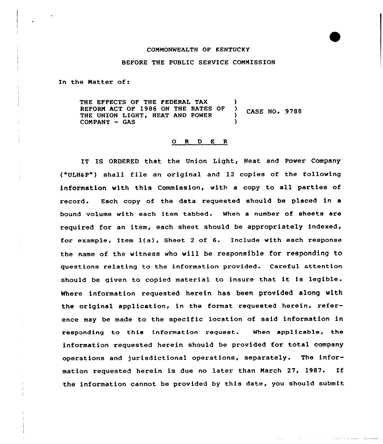## COMMONWEALTH OF KENTUCKy

## BEFORE THE PUBLIC SERVICE COMMISSION

In the Matter of:

THE EFFECTS OF THE FEDERAL TAX REFORM ACT OF 1986 ON THE RATES OF ) CASE NO. 9788 THE UNION LIGHT, HEAT AND POWER COMPANY — GAS )

## 0 <sup>R</sup> <sup>D</sup> E R

IT IS ORDERED that the Union Light, Heat and Power Company ("ULH&P") shall file an original and 12 copies of the following information with this Commission, with a copy to all parties of record. Each copy of the data requested should be placed in a bound volume with each item tabbed. When a number of sheets are required for an item, each sheet should be appropriately indexed, for example, Item l(a), Sheet <sup>2</sup> of 6. Include with each response the name of the witness who will be responsible for responding to questions relating to the information provided. Careful attention should be given to copied material to insure that it is legible. Where information requested herein has been provided along with the original application, in the format requested herein, reference may be made to the specific location of said information in responding to this information request. When applicable, the information requested herein should be provided for total company operations and jurisdictional operations, separately. The information requested herein is due no later than March 27, 1987. If the information cannot be provided by this date, you should submit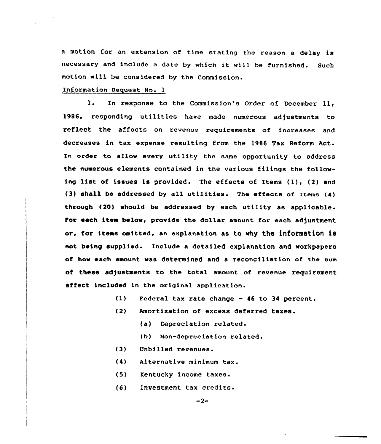a motion for an extension of time stating the reason a delay is necessary and include <sup>a</sup> date by which it will be furnished. Such motian will be considered by the Commission.

## Information Request No. 1

l. In response to the Commission's Order of December 11, 1986, responding utilities have made numerous adjustments to reflect the affects on revenue requirements af increases and decreases in tax expense resulting from the 1986 Tax Reform Act. In order to allow every utility the same opportunity to address the numerous elements contained in the various filings the following list of issues is provided. The effects of Items (1), (2) and {3) shall be addressed by all utilities. The effects of Items (4) through {20) should be addressed by each utility as applicable. For each item below, provide the dollar amount for each adjustment or, for items omitted, an explanation as to why the information is not being supplied. Include a detailed explanation and workpapers of how each amount was determined and a reconciliation of the sum of these adjustments to the total amount of revenue requirement affect included in the original application.

(1) Federal tax rate change — 46 to 34 percent.

- (2) Amortization of excess deferred taxes.
	- (a) Depreciation related.
	- (b) Non-depreciation related.
- (3) Unbilled revenues.
- $(4)$ Alternative minimum tax.
- $(5)$ Kentucky income taxes.
- (6) Investment tax credits.

 $-2-$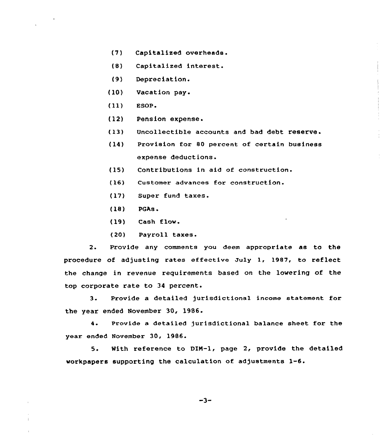- {7) Capitalized overheads.
- (8) Capitalized interest.
- {9) Depreciation.
- (10) Vacation pay.
- $(11)$  ESOP.
- (12) Pension expense.
- (13) Uncollectible accounts and bad debt
- $(14)$ Provision for 80 percent of certain business expense deductions.
- (15) Contributions in aid of construction.
- (16) Customer advances for construction.
- (17) Super fund taxes.
- (18) PGAs.
- (19) Cash flow.
- (20) Payroll taxes.

2. Provide any comments you deem appropriate as to the procedure of adjusting rates effective July 1, 1987, to reflect the change in revenue requirements based on the lowering of the top corporate rate to 34 percent.

3. Provide a detailed jurisdictional income statement for the year ended November 30, 1986.

4. Provide a detailed jurisdictional balance sheet for the year ended November 30, 1986.

5. With reference to DIN-l, page 2, provide the detailed workpapers supporting the calculation of adjustments 1-6.

 $-3-$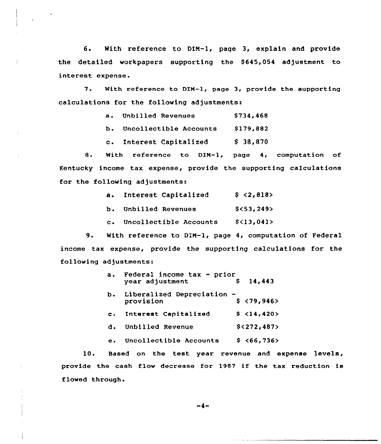6. With reference to DIN-1, page 3, explain and provide the detailed workpapers supporting the \$645,054 adjustment to interest expense.

7. With reference to DIM-1, page 3, provide the supporting calculations for the following adjustments:

- a. Unbilled Revenues \$734,468
- b. Uncollectible Accounts \$179,882
- c. Interest Capitalized \$38,870

S. With reference to DIN-l, page 4, computation of Kentucky income tax expense, provide the supporting calculations for the following adjustments:

|                | a. Interest Capitalized | \$ < 2,818> |
|----------------|-------------------------|-------------|
|                | b. Unbilled Revenues    | S<53.249    |
| $\mathbf{C}$ . | Uncollectible Accounts  | \$<13,041>  |

9. With reference to DIN-l, page 4, computation of Federal income tax expense, provide the supporting calculations for the following adjustments:

| $a \cdot$      | Federal income tax - prior<br>year adjustment | S. | 14,443         |
|----------------|-----------------------------------------------|----|----------------|
| b.             | Liberalized Depreciation -<br>provision       |    | \$ 79,946>     |
| $\mathbf{c}$ . | Interest Capitalized                          |    | \$ 14,420>     |
| d.             | Unbilled Revenue                              |    | $$<$ 272, 487> |
| е.             | Uncollectible Accounts                        |    | \$ 5, 736      |

10. Based on the test year revenue and expense levels, provide the cash flow decrease for 1987 if the tax reduction is flowed through.

-4-